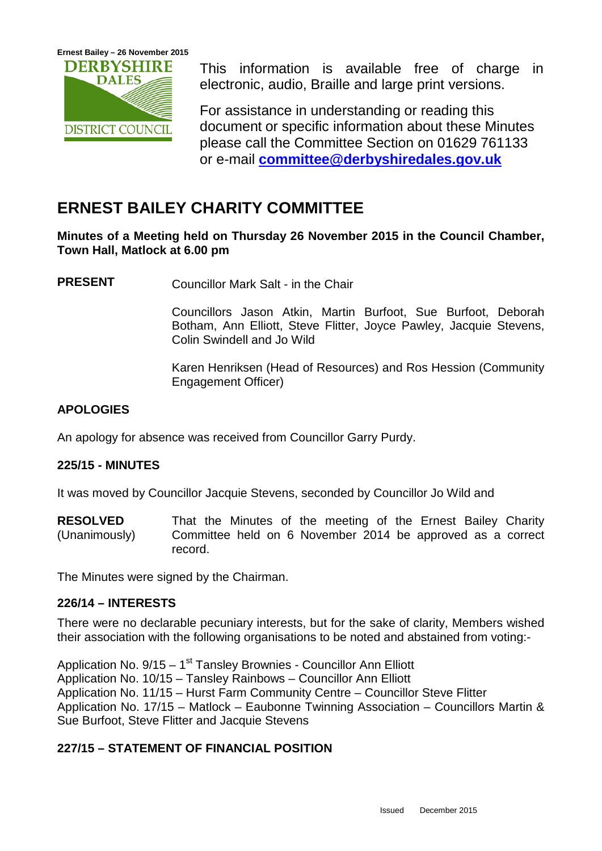

This information is available free of charge in electronic, audio, Braille and large print versions.

For assistance in understanding or reading this document or specific information about these Minutes please call the Committee Section on 01629 761133 or e-mail **[committee@derbyshiredales.gov.uk](mailto:committee@derbyshiredales.gov.uk)**

# **ERNEST BAILEY CHARITY COMMITTEE**

**Minutes of a Meeting held on Thursday 26 November 2015 in the Council Chamber, Town Hall, Matlock at 6.00 pm**

**PRESENT** Councillor Mark Salt - in the Chair

Councillors Jason Atkin, Martin Burfoot, Sue Burfoot, Deborah Botham, Ann Elliott, Steve Flitter, Joyce Pawley, Jacquie Stevens, Colin Swindell and Jo Wild

Karen Henriksen (Head of Resources) and Ros Hession (Community Engagement Officer)

# **APOLOGIES**

An apology for absence was received from Councillor Garry Purdy.

# **225/15 - MINUTES**

It was moved by Councillor Jacquie Stevens, seconded by Councillor Jo Wild and

**RESOLVED** (Unanimously) That the Minutes of the meeting of the Ernest Bailey Charity Committee held on 6 November 2014 be approved as a correct record.

The Minutes were signed by the Chairman.

# **226/14 – INTERESTS**

There were no declarable pecuniary interests, but for the sake of clarity, Members wished their association with the following organisations to be noted and abstained from voting:-

Application No.  $9/15 - 1$ <sup>st</sup> Tansley Brownies - Councillor Ann Elliott Application No. 10/15 – Tansley Rainbows – Councillor Ann Elliott Application No. 11/15 – Hurst Farm Community Centre – Councillor Steve Flitter Application No. 17/15 – Matlock – Eaubonne Twinning Association – Councillors Martin & Sue Burfoot, Steve Flitter and Jacquie Stevens

# **227/15 – STATEMENT OF FINANCIAL POSITION**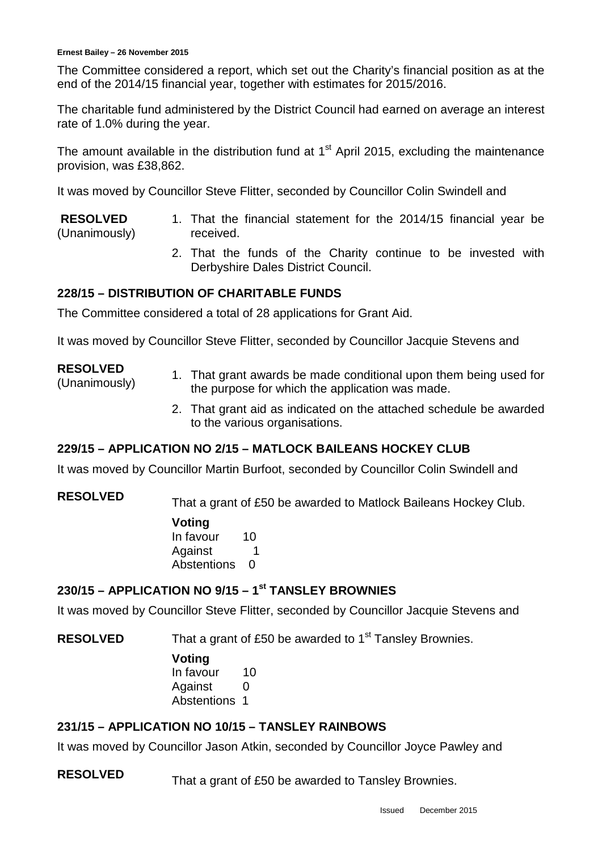The Committee considered a report, which set out the Charity's financial position as at the end of the 2014/15 financial year, together with estimates for 2015/2016.

The charitable fund administered by the District Council had earned on average an interest rate of 1.0% during the year.

The amount available in the distribution fund at  $1<sup>st</sup>$  April 2015, excluding the maintenance provision, was £38,862.

It was moved by Councillor Steve Flitter, seconded by Councillor Colin Swindell and

- **RESOLVED** (Unanimously) 1. That the financial statement for the 2014/15 financial year be received.
	- 2. That the funds of the Charity continue to be invested with Derbyshire Dales District Council.

### **228/15 – DISTRIBUTION OF CHARITABLE FUNDS**

The Committee considered a total of 28 applications for Grant Aid.

It was moved by Councillor Steve Flitter, seconded by Councillor Jacquie Stevens and

### **RESOLVED**

- (Unanimously) 1. That grant awards be made conditional upon them being used for the purpose for which the application was made.
	- 2. That grant aid as indicated on the attached schedule be awarded to the various organisations.

# **229/15 – APPLICATION NO 2/15 – MATLOCK BAILEANS HOCKEY CLUB**

It was moved by Councillor Martin Burfoot, seconded by Councillor Colin Swindell and

**RESOLVED** That a grant of £50 be awarded to Matlock Baileans Hockey Club.

**Voting** In favour 10 Against 1 Abstentions 0

# **230/15 – APPLICATION NO 9/15 – 1st TANSLEY BROWNIES**

It was moved by Councillor Steve Flitter, seconded by Councillor Jacquie Stevens and

**RESOLVED** That a grant of £50 be awarded to 1<sup>st</sup> Tansley Brownies.

**Voting** In favour 10 Against 0 Abstentions 1

# **231/15 – APPLICATION NO 10/15 – TANSLEY RAINBOWS**

It was moved by Councillor Jason Atkin, seconded by Councillor Joyce Pawley and

**RESOLVED** That a grant of £50 be awarded to Tansley Brownies.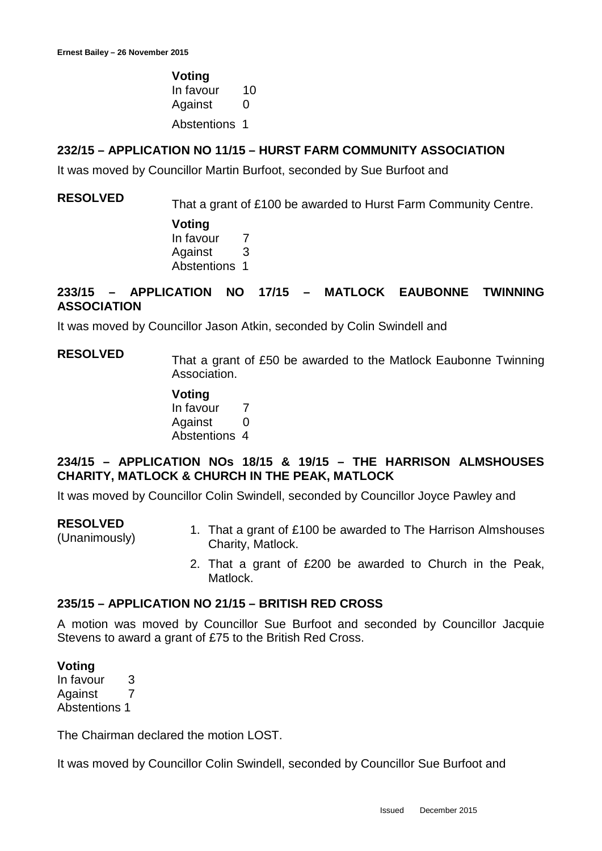**Voting** In favour 10 Against 0

Abstentions 1

### **232/15 – APPLICATION NO 11/15 – HURST FARM COMMUNITY ASSOCIATION**

It was moved by Councillor Martin Burfoot, seconded by Sue Burfoot and

# **RESOLVED** That a grant of £100 be awarded to Hurst Farm Community Centre.

**Voting** In favour 7 Against 3 Abstentions 1

## **233/15 – APPLICATION NO 17/15 – MATLOCK EAUBONNE TWINNING ASSOCIATION**

It was moved by Councillor Jason Atkin, seconded by Colin Swindell and

**RESOLVED** That a grant of £50 be awarded to the Matlock Eaubonne Twinning Association.

> **Voting** In favour 7 Against 0 Abstentions 4

# **234/15 – APPLICATION NOs 18/15 & 19/15 – THE HARRISON ALMSHOUSES CHARITY, MATLOCK & CHURCH IN THE PEAK, MATLOCK**

It was moved by Councillor Colin Swindell, seconded by Councillor Joyce Pawley and

#### **RESOLVED**

- RESOLVED<br>(Unanimously) 1. That a grant of £100 be awarded to The Harrison Almshouses Charity, Matlock.
	- 2. That a grant of £200 be awarded to Church in the Peak, Matlock.

### **235/15 – APPLICATION NO 21/15 – BRITISH RED CROSS**

A motion was moved by Councillor Sue Burfoot and seconded by Councillor Jacquie Stevens to award a grant of £75 to the British Red Cross.

### **Voting**

In favour 3 Against 7 Abstentions 1

The Chairman declared the motion LOST.

It was moved by Councillor Colin Swindell, seconded by Councillor Sue Burfoot and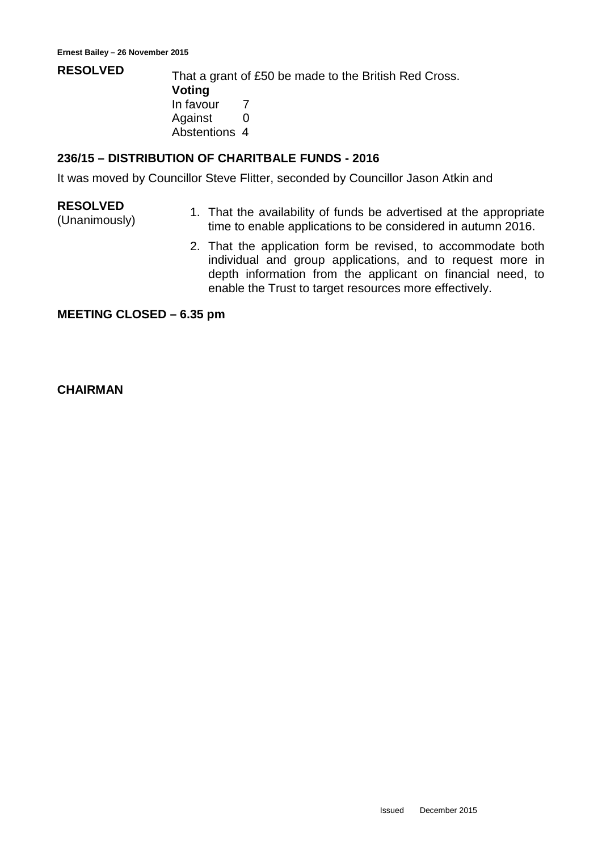**RESOLVED** That a grant of £50 be made to the British Red Cross. **Voting** In favour 7 Against 0 Abstentions 4

## **236/15 – DISTRIBUTION OF CHARITBALE FUNDS - 2016**

It was moved by Councillor Steve Flitter, seconded by Councillor Jason Atkin and

### **RESOLVED**

- EXESUCTED<br>(Unanimously) 1. That the availability of funds be advertised at the appropriate<br>time to enable applications to be applicated in outumn 2016 time to enable applications to be considered in autumn 2016.
	- 2. That the application form be revised, to accommodate both individual and group applications, and to request more in depth information from the applicant on financial need, to enable the Trust to target resources more effectively.

#### **MEETING CLOSED – 6.35 pm**

### **CHAIRMAN**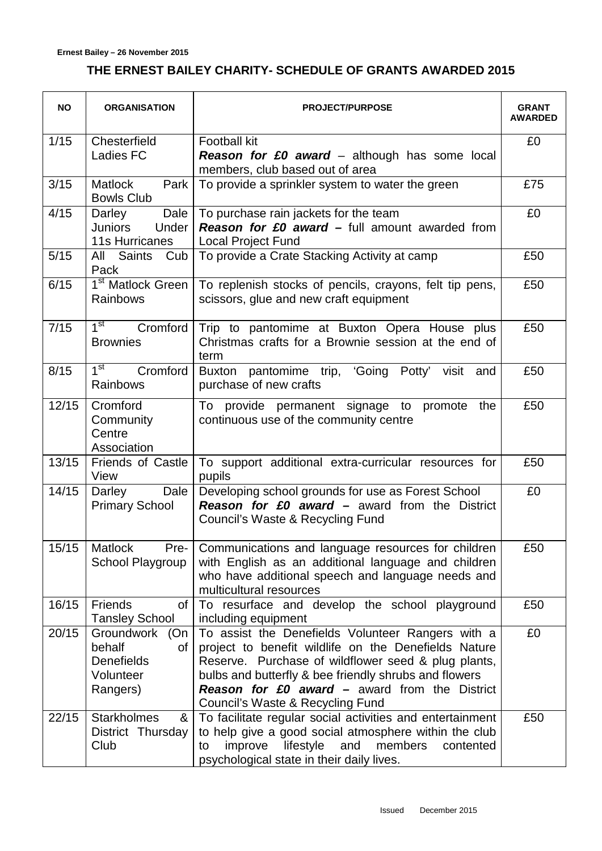# **THE ERNEST BAILEY CHARITY- SCHEDULE OF GRANTS AWARDED 2015**

| <b>NO</b> | <b>ORGANISATION</b>                                                             | <b>PROJECT/PURPOSE</b>                                                                                                                                                                                                                                                                                                | <b>GRANT</b><br><b>AWARDED</b> |
|-----------|---------------------------------------------------------------------------------|-----------------------------------------------------------------------------------------------------------------------------------------------------------------------------------------------------------------------------------------------------------------------------------------------------------------------|--------------------------------|
| 1/15      | Chesterfield<br>Ladies FC                                                       | <b>Football kit</b><br><b>Reason for £0 award</b> – although has some local<br>members, club based out of area                                                                                                                                                                                                        | £0                             |
| 3/15      | Matlock<br>Park<br><b>Bowls Club</b>                                            | To provide a sprinkler system to water the green                                                                                                                                                                                                                                                                      | £75                            |
| 4/15      | Dale<br>Darley<br>Juniors<br>Under<br><b>11s Hurricanes</b>                     | To purchase rain jackets for the team<br><b>Reason for £0 award – full amount awarded from</b><br>Local Project Fund                                                                                                                                                                                                  | £0                             |
| $5/15$    | All Saints<br>Cub<br>Pack                                                       | To provide a Crate Stacking Activity at camp                                                                                                                                                                                                                                                                          | £50                            |
| 6/15      | 1 <sup>st</sup> Matlock Green<br>Rainbows                                       | To replenish stocks of pencils, crayons, felt tip pens,<br>scissors, glue and new craft equipment                                                                                                                                                                                                                     | £50                            |
| 7/15      | 1 <sup>st</sup><br>Cromford<br><b>Brownies</b>                                  | Trip to pantomime at Buxton Opera House plus<br>Christmas crafts for a Brownie session at the end of<br>term                                                                                                                                                                                                          | £50                            |
| 8/15      | 1 <sup>st</sup><br>Cromford<br>Rainbows                                         | pantomime trip, 'Going Potty'<br>Buxton<br>visit and<br>purchase of new crafts                                                                                                                                                                                                                                        | £50                            |
| 12/15     | Cromford<br>Community<br>Centre<br>Association                                  | To provide permanent signage to promote the<br>continuous use of the community centre                                                                                                                                                                                                                                 | £50                            |
| 13/15     | Friends of Castle<br>View                                                       | To support additional extra-curricular resources for<br>pupils                                                                                                                                                                                                                                                        | £50                            |
| 14/15     | Dale<br>Darley<br><b>Primary School</b>                                         | Developing school grounds for use as Forest School<br><b>Reason for £0 award – award from the District</b><br>Council's Waste & Recycling Fund                                                                                                                                                                        | £0                             |
|           | 15/15   Matlock<br>Pre-<br>School Playgroup                                     | Communications and language resources for children<br>with English as an additional language and children<br>who have additional speech and language needs and<br>multicultural resources                                                                                                                             | £50                            |
| 16/15     | <b>Friends</b><br>of<br><b>Tansley School</b>                                   | To resurface and develop the school playground<br>including equipment                                                                                                                                                                                                                                                 | £50                            |
| 20/15     | Groundwork<br>(On<br>behalf<br>οf<br><b>Denefields</b><br>Volunteer<br>Rangers) | To assist the Denefields Volunteer Rangers with a<br>project to benefit wildlife on the Denefields Nature<br>Reserve. Purchase of wildflower seed & plug plants,<br>bulbs and butterfly & bee friendly shrubs and flowers<br><b>Reason for £0 award – award from the District</b><br>Council's Waste & Recycling Fund | £0                             |
| 22/15     | <b>Starkholmes</b><br>&<br>District Thursday<br>Club                            | To facilitate regular social activities and entertainment<br>to help give a good social atmosphere within the club<br>and<br>improve<br>lifestyle<br>members<br>to<br>contented<br>psychological state in their daily lives.                                                                                          | £50                            |